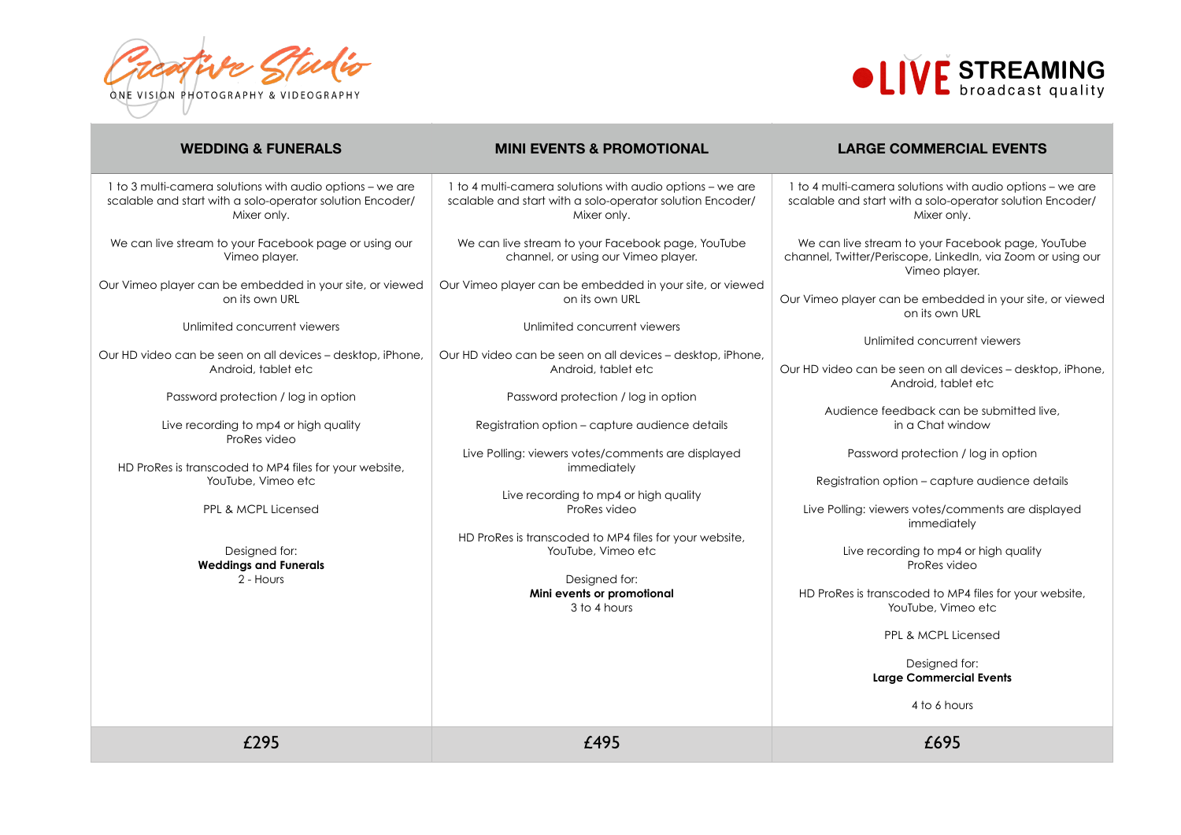Prestive Studio ONE VISION PHOTOGRAPHY & VIDEOGRAPHY



| <b>WEDDING &amp; FUNERALS</b>                                                                                                         | <b>MINI EVENTS &amp; PROMOTIONAL</b>                                                                                                  | <b>LARGE COMMERCIAL EVENTS</b>                                                                                                        |
|---------------------------------------------------------------------------------------------------------------------------------------|---------------------------------------------------------------------------------------------------------------------------------------|---------------------------------------------------------------------------------------------------------------------------------------|
| 1 to 3 multi-camera solutions with audio options - we are<br>scalable and start with a solo-operator solution Encoder/<br>Mixer only. | 1 to 4 multi-camera solutions with audio options - we are<br>scalable and start with a solo-operator solution Encoder/<br>Mixer only. | 1 to 4 multi-camera solutions with audio options - we are<br>scalable and start with a solo-operator solution Encoder/<br>Mixer only. |
| We can live stream to your Facebook page or using our<br>Vimeo player.                                                                | We can live stream to your Facebook page, YouTube<br>channel, or using our Vimeo player.                                              | We can live stream to your Facebook page, YouTube<br>channel, Twitter/Periscope, LinkedIn, via Zoom or using our<br>Vimeo player.     |
| Our Vimeo player can be embedded in your site, or viewed<br>on its own URL                                                            | Our Vimeo player can be embedded in your site, or viewed<br>on its own URL                                                            | Our Vimeo player can be embedded in your site, or viewed<br>on its own URL                                                            |
| Unlimited concurrent viewers                                                                                                          | Unlimited concurrent viewers                                                                                                          | Unlimited concurrent viewers                                                                                                          |
| Our HD video can be seen on all devices - desktop, iPhone,<br>Android, tablet etc                                                     | Our HD video can be seen on all devices - desktop, iPhone,<br>Android, tablet etc                                                     | Our HD video can be seen on all devices - desktop, iPhone,<br>Android, tablet etc                                                     |
| Password protection / log in option                                                                                                   | Password protection / log in option                                                                                                   | Audience feedback can be submitted live,                                                                                              |
| Live recording to mp4 or high quality<br>ProRes video                                                                                 | Registration option - capture audience details                                                                                        | in a Chat window                                                                                                                      |
| HD ProRes is transcoded to MP4 files for your website,                                                                                | Live Polling: viewers votes/comments are displayed<br>immediately                                                                     | Password protection / log in option                                                                                                   |
| YouTube, Vimeo etc                                                                                                                    | Live recording to mp4 or high quality                                                                                                 | Registration option - capture audience details                                                                                        |
| PPL & MCPL Licensed                                                                                                                   | ProRes video                                                                                                                          | Live Polling: viewers votes/comments are displayed<br>immediately                                                                     |
| Designed for:<br><b>Weddings and Funerals</b><br>2 - Hours                                                                            | HD ProRes is transcoded to MP4 files for your website,<br>YouTube, Vimeo etc<br>Designed for:                                         | Live recording to mp4 or high quality<br>ProRes video                                                                                 |
|                                                                                                                                       | Mini events or promotional<br>3 to 4 hours                                                                                            | HD ProRes is transcoded to MP4 files for your website,<br>YouTube, Vimeo etc                                                          |
|                                                                                                                                       |                                                                                                                                       | PPL & MCPL Licensed                                                                                                                   |
|                                                                                                                                       |                                                                                                                                       | Designed for:<br><b>Large Commercial Events</b>                                                                                       |
|                                                                                                                                       |                                                                                                                                       | 4 to 6 hours                                                                                                                          |
| £295                                                                                                                                  | £495                                                                                                                                  | £695                                                                                                                                  |